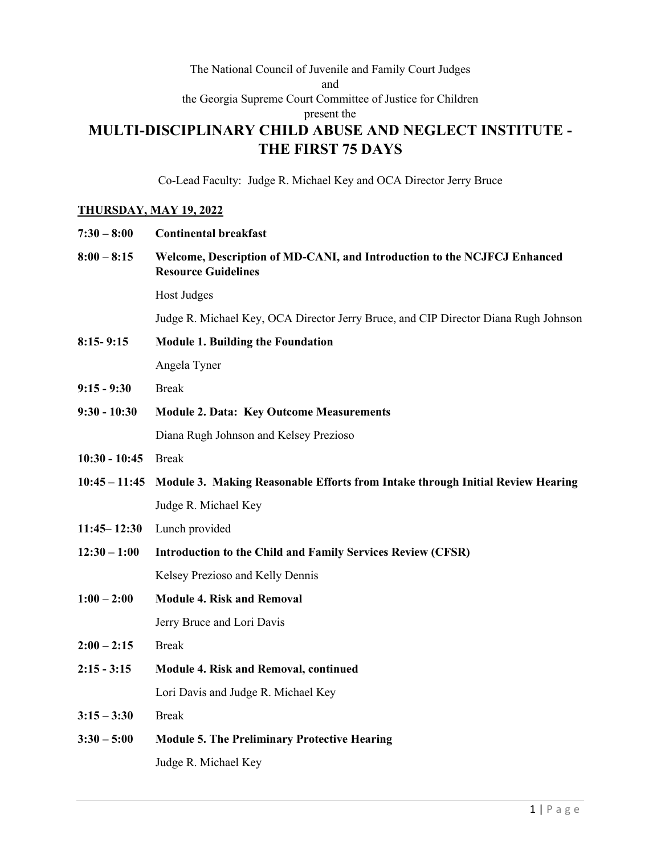## The National Council of Juvenile and Family Court Judges and the Georgia Supreme Court Committee of Justice for Children present the **MULTI-DISCIPLINARY CHILD ABUSE AND NEGLECT INSTITUTE - THE FIRST 75 DAYS**

Co-Lead Faculty: Judge R. Michael Key and OCA Director Jerry Bruce

## **THURSDAY, MAY 19, 2022**

| $7:30 - 8:00$   | <b>Continental breakfast</b>                                                                           |
|-----------------|--------------------------------------------------------------------------------------------------------|
| $8:00 - 8:15$   | Welcome, Description of MD-CANI, and Introduction to the NCJFCJ Enhanced<br><b>Resource Guidelines</b> |
|                 | Host Judges                                                                                            |
|                 | Judge R. Michael Key, OCA Director Jerry Bruce, and CIP Director Diana Rugh Johnson                    |
| $8:15 - 9:15$   | <b>Module 1. Building the Foundation</b>                                                               |
|                 | Angela Tyner                                                                                           |
| $9:15 - 9:30$   | <b>Break</b>                                                                                           |
| $9:30 - 10:30$  | <b>Module 2. Data: Key Outcome Measurements</b>                                                        |
|                 | Diana Rugh Johnson and Kelsey Prezioso                                                                 |
| $10:30 - 10:45$ | <b>Break</b>                                                                                           |
| $10:45 - 11:45$ | Module 3. Making Reasonable Efforts from Intake through Initial Review Hearing                         |
|                 | Judge R. Michael Key                                                                                   |
| $11:45 - 12:30$ | Lunch provided                                                                                         |
| $12:30 - 1:00$  | <b>Introduction to the Child and Family Services Review (CFSR)</b>                                     |
|                 | Kelsey Prezioso and Kelly Dennis                                                                       |
| $1:00 - 2:00$   | <b>Module 4. Risk and Removal</b>                                                                      |
|                 | Jerry Bruce and Lori Davis                                                                             |
| $2:00 - 2:15$   | <b>Break</b>                                                                                           |
| $2:15 - 3:15$   | Module 4. Risk and Removal, continued                                                                  |
|                 | Lori Davis and Judge R. Michael Key                                                                    |
| $3:15 - 3:30$   | <b>Break</b>                                                                                           |
| $3:30 - 5:00$   | <b>Module 5. The Preliminary Protective Hearing</b>                                                    |
|                 | Judge R. Michael Key                                                                                   |